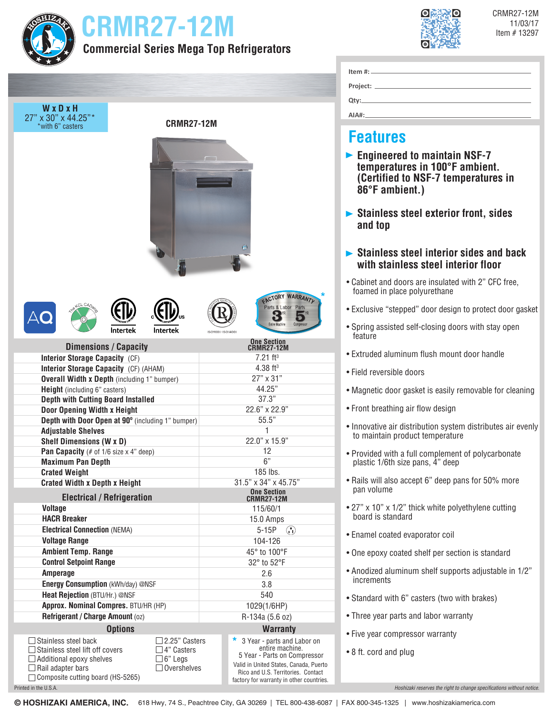| IIZ, |  |
|------|--|
|      |  |
|      |  |
|      |  |

Printed in the U.S.A.

# **CRMR27-12M In the second of the second of the second of the second of the second of the second of the second of the second of the second of the second of the second of the second of the second of the second of the secon**





CRMR27-12M

**AIA#:**

### **Features**

- **Engineered to maintain NSF-7 temperatures in 100°F ambient. (Certified to NSF-7 temperatures in 86°F ambient.)**
- **Stainless steel exterior front, sides and top**
- **Stainless steel interior sides and back with stainless steel interior floor**
- Cabinet and doors are insulated with 2" CFC free, foamed in place polyurethane
- Exclusive "stepped" door design to protect door gasket
- Spring assisted self-closing doors with stay open feature
- Extruded aluminum flush mount door handle
- Field reversible doors
- Magnetic door gasket is easily removable for cleaning
- Front breathing air flow design
- Innovative air distribution system distributes air evenly to maintain product temperature
- Provided with a full complement of polycarbonate plastic 1/6th size pans, 4" deep
- Rails will also accept 6" deep pans for 50% more pan volume
- 27" x 10" x 1/2" thick white polyethylene cutting board is standard
- Enamel coated evaporator coil
- One epoxy coated shelf per section is standard
- Anodized aluminum shelf supports adjustable in 1/2" increments
- Standard with 6" casters (two with brakes)
- Three year parts and labor warranty
- Five year compressor warranty
- 8 ft. cord and plug

*Hoshizaki reserves the right to change specifications without notice.*

**© HOSHIZAKI AMERICA, INC.** 618 Hwy, 74 S., Peachtree City, GA 30269 | TEL 800-438-6087 | FAX 800-345-1325 | www.hoshizakiamerica.com